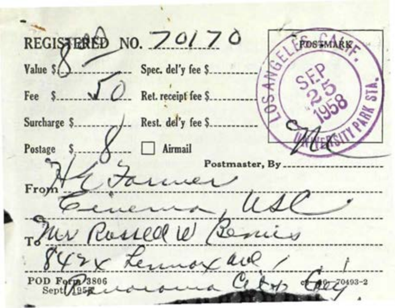REGISTERED NO. 70170 Spec. del'y fee S. Value S Ret. receipt fee \$  $F_{PP}$   $S$ Airmail Postage Postmaster, Bv Fro: ner Rossell le Banico v Lemar au POD Form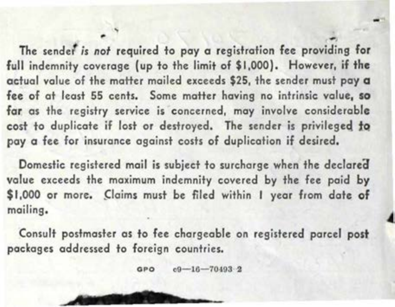The sendef *is not* required to pay a registration fee providing for full indemnity coverage {up to the limit of \$1,000). However, if the actual value of the matter mailed exceeds \$25, the sender must pay a **fee of at least 55 cents. Some matter having no intrinsic value, so far. as the registry service is concerned, may involve considerable**  cost to duplicate if lost or destroyed. The sender is privileged to pay a fee for insurance against costs of duplication if desired,

Domestic registered mail is subject to surcharge when the declared value exceeds the maximum indemnity covered by the fee paid by \$1,000 or more. Claims must be filed within I year from date of **mailing.** 

Consult postmaster as to fee chargeable on registered parcel post **packages** addressed to foreign countries.

> **c0-16-70403 2** GPO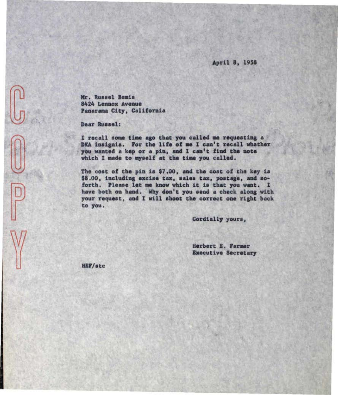April 8, 1958

Mr. Russel Bemis 8424 Lennox Avenue Panarama City, California

Dear Russel:

I recall some time ago that you called me requesting a DKA insignia. For the life of me I can't recall whether you wanted a kep or a pin, and I can't find the note which I made to myself at the time you called.

The cost of the pin is \$7.00, and the cost of the key is \$8.00, including excise tax, sales tax, postage, and soforth. Please let me know which it is that you want. I have both on hand. Why don't you send a check along with your request, and I will shoot the correct one right back to you.

Cordially yours,

Herbert E. Farmer **Executive Secretary** 

HEF/stc